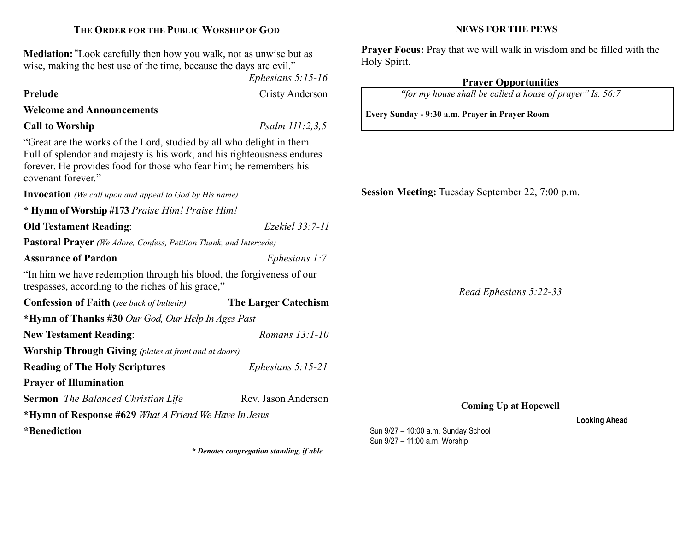### THE ORDER FOR THE PUBLIC WORSHIP OF GOD

Mediation: "Look carefully then how you walk, not as unwise but as wise, making the best use of the time, because the days are evil."

Ephesians 5:15-16

Prelude Cristy Anderson

## Welcome and Announcements

Call to Worship  $Psalm 111:2,3,5$ 

"Great are the works of the Lord, studied by all who delight in them. Full of splendor and majesty is his work, and his righteousness endures forever. He provides food for those who fear him; he remembers his covenant forever."

Invocation *(We call upon and appeal to God by His name)* \* Hymn of Worship #173 Praise Him! Praise Him!

Old Testament Reading: Ezekiel 33:7-11

Pastoral Prayer (We Adore, Confess, Petition Thank, and Intercede)

Assurance of Pardon Ephesians 1:7

"In him we have redemption through his blood, the forgiveness of our trespasses, according to the riches of his grace,"

Confession of Faith (see back of bulletin) The Larger Catechism \*Hymn of Thanks #30 Our God, Our Help In Ages Past New Testament Reading: Romans 13:1-10 Worship Through Giving (plates at front and at doors) Reading of The Holy Scriptures *Ephesians* 5:15-21 Prayer of Illumination Sermon The Balanced Christian Life Rev. Jason Anderson

\*Hymn of Response #629 What A Friend We Have In Jesus

\*Benediction

\* Denotes congregation standing, if able

#### NEWS FOR THE PEWS

Prayer Focus: Pray that we will walk in wisdom and be filled with the Holy Spirit.

# Prayer Opportunities

"for my house shall be called a house of prayer" Is. 56:7

Every Sunday - 9:30 a.m. Prayer in Prayer Room

Session Meeting: Tuesday September 22, 7:00 p.m.

Read Ephesians 5:22-33

Coming Up at Hopewell

#### Looking Ahead

Sun 9/27 – 10:00 a.m. Sunday School Sun 9/27 – 11:00 a.m. Worship